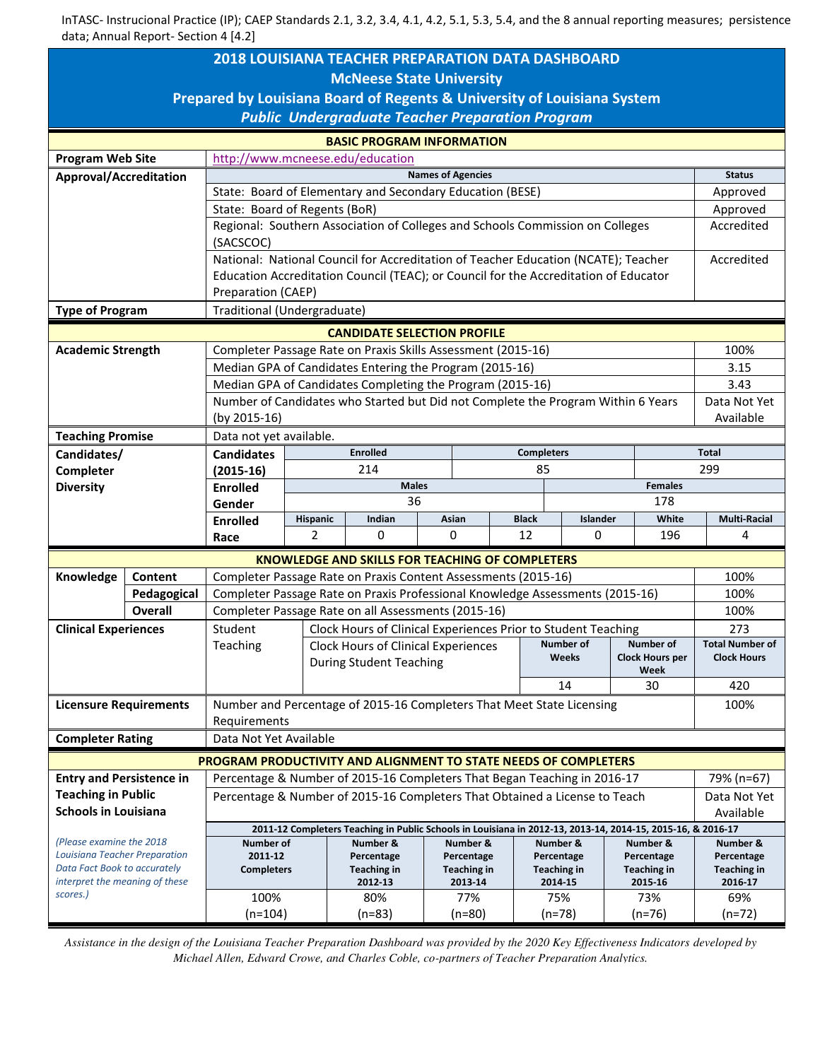| <b>2018 LOUISIANA TEACHER PREPARATION DATA DASHBOARD</b>                                  |                        |                                                                                                                                                        |                                      |                                                                                                                                     |  |                       |                   |                               |  |                        |                               |  |  |
|-------------------------------------------------------------------------------------------|------------------------|--------------------------------------------------------------------------------------------------------------------------------------------------------|--------------------------------------|-------------------------------------------------------------------------------------------------------------------------------------|--|-----------------------|-------------------|-------------------------------|--|------------------------|-------------------------------|--|--|
| <b>McNeese State University</b>                                                           |                        |                                                                                                                                                        |                                      |                                                                                                                                     |  |                       |                   |                               |  |                        |                               |  |  |
| Prepared by Louisiana Board of Regents & University of Louisiana System                   |                        |                                                                                                                                                        |                                      |                                                                                                                                     |  |                       |                   |                               |  |                        |                               |  |  |
| <b>Public Undergraduate Teacher Preparation Program</b>                                   |                        |                                                                                                                                                        |                                      |                                                                                                                                     |  |                       |                   |                               |  |                        |                               |  |  |
| <b>BASIC PROGRAM INFORMATION</b>                                                          |                        |                                                                                                                                                        |                                      |                                                                                                                                     |  |                       |                   |                               |  |                        |                               |  |  |
| <b>Program Web Site</b>                                                                   |                        | http://www.mcneese.edu/education                                                                                                                       |                                      |                                                                                                                                     |  |                       |                   |                               |  |                        |                               |  |  |
| Approval/Accreditation                                                                    |                        | <b>Names of Agencies</b>                                                                                                                               |                                      |                                                                                                                                     |  |                       |                   |                               |  |                        |                               |  |  |
|                                                                                           |                        | State: Board of Elementary and Secondary Education (BESE)                                                                                              |                                      |                                                                                                                                     |  |                       |                   |                               |  |                        |                               |  |  |
|                                                                                           |                        | State: Board of Regents (BoR)                                                                                                                          |                                      |                                                                                                                                     |  |                       |                   |                               |  |                        |                               |  |  |
|                                                                                           |                        | Regional: Southern Association of Colleges and Schools Commission on Colleges                                                                          |                                      |                                                                                                                                     |  |                       |                   |                               |  |                        | Accredited                    |  |  |
|                                                                                           |                        | (SACSCOC)                                                                                                                                              |                                      |                                                                                                                                     |  |                       |                   |                               |  |                        |                               |  |  |
|                                                                                           |                        | National: National Council for Accreditation of Teacher Education (NCATE); Teacher                                                                     |                                      |                                                                                                                                     |  |                       |                   |                               |  |                        | Accredited                    |  |  |
|                                                                                           |                        | Education Accreditation Council (TEAC); or Council for the Accreditation of Educator                                                                   |                                      |                                                                                                                                     |  |                       |                   |                               |  |                        |                               |  |  |
|                                                                                           |                        | Preparation (CAEP)                                                                                                                                     |                                      |                                                                                                                                     |  |                       |                   |                               |  |                        |                               |  |  |
| Traditional (Undergraduate)<br><b>Type of Program</b>                                     |                        |                                                                                                                                                        |                                      |                                                                                                                                     |  |                       |                   |                               |  |                        |                               |  |  |
| <b>CANDIDATE SELECTION PROFILE</b>                                                        |                        |                                                                                                                                                        |                                      |                                                                                                                                     |  |                       |                   |                               |  |                        |                               |  |  |
| <b>Academic Strength</b>                                                                  |                        | Completer Passage Rate on Praxis Skills Assessment (2015-16)                                                                                           |                                      |                                                                                                                                     |  |                       |                   |                               |  |                        | 100%                          |  |  |
|                                                                                           |                        | Median GPA of Candidates Entering the Program (2015-16)                                                                                                |                                      |                                                                                                                                     |  |                       |                   |                               |  |                        | 3.15                          |  |  |
|                                                                                           |                        | Median GPA of Candidates Completing the Program (2015-16)                                                                                              |                                      |                                                                                                                                     |  |                       |                   |                               |  |                        | 3.43                          |  |  |
|                                                                                           |                        | Number of Candidates who Started but Did not Complete the Program Within 6 Years                                                                       |                                      |                                                                                                                                     |  |                       |                   |                               |  |                        | Data Not Yet                  |  |  |
|                                                                                           |                        | (by 2015-16)                                                                                                                                           |                                      |                                                                                                                                     |  |                       |                   |                               |  |                        | Available                     |  |  |
| <b>Teaching Promise</b>                                                                   |                        | Data not yet available.                                                                                                                                |                                      |                                                                                                                                     |  |                       |                   |                               |  |                        |                               |  |  |
| Candidates/                                                                               |                        | <b>Candidates</b>                                                                                                                                      | <b>Enrolled</b>                      |                                                                                                                                     |  |                       | <b>Completers</b> |                               |  |                        | <b>Total</b>                  |  |  |
| Completer                                                                                 |                        | $(2015-16)$                                                                                                                                            |                                      | 214<br>85                                                                                                                           |  |                       |                   |                               |  |                        | 299                           |  |  |
| <b>Diversity</b>                                                                          |                        | <b>Enrolled</b>                                                                                                                                        | <b>Males</b><br><b>Females</b><br>36 |                                                                                                                                     |  |                       |                   | 178                           |  |                        |                               |  |  |
|                                                                                           |                        | Gender                                                                                                                                                 |                                      |                                                                                                                                     |  | Asian<br><b>Black</b> |                   | Islander                      |  | White                  | <b>Multi-Racial</b>           |  |  |
|                                                                                           |                        | <b>Enrolled</b><br>Race                                                                                                                                | Hispanic<br>Indian<br>2<br>0         |                                                                                                                                     |  | 0<br>12               |                   | 0                             |  | 196                    | 4                             |  |  |
|                                                                                           |                        | <b>KNOWLEDGE AND SKILLS FOR TEACHING OF COMPLETERS</b>                                                                                                 |                                      |                                                                                                                                     |  |                       |                   |                               |  |                        |                               |  |  |
|                                                                                           |                        |                                                                                                                                                        |                                      |                                                                                                                                     |  |                       |                   |                               |  |                        | 100%                          |  |  |
| Knowledge                                                                                 | Content<br>Pedagogical | Completer Passage Rate on Praxis Content Assessments (2015-16)                                                                                         |                                      |                                                                                                                                     |  |                       |                   |                               |  |                        |                               |  |  |
|                                                                                           | Overall                | Completer Passage Rate on Praxis Professional Knowledge Assessments (2015-16)                                                                          |                                      |                                                                                                                                     |  |                       |                   |                               |  |                        |                               |  |  |
|                                                                                           |                        | Completer Passage Rate on all Assessments (2015-16)<br>Clock Hours of Clinical Experiences Prior to Student Teaching<br>Student                        |                                      |                                                                                                                                     |  |                       |                   |                               |  |                        |                               |  |  |
| <b>Clinical Experiences</b>                                                               |                        | Teaching<br><b>Clock Hours of Clinical Experiences</b>                                                                                                 |                                      |                                                                                                                                     |  |                       |                   | <b>Number of</b><br>Number of |  |                        | 273<br><b>Total Number of</b> |  |  |
|                                                                                           |                        |                                                                                                                                                        |                                      | <b>During Student Teaching</b>                                                                                                      |  |                       |                   | Weeks                         |  | <b>Clock Hours per</b> | <b>Clock Hours</b>            |  |  |
|                                                                                           |                        |                                                                                                                                                        |                                      |                                                                                                                                     |  |                       |                   |                               |  | Week                   |                               |  |  |
|                                                                                           |                        | 30<br>14                                                                                                                                               |                                      |                                                                                                                                     |  |                       |                   |                               |  | 420<br>100%            |                               |  |  |
| <b>Licensure Requirements</b>                                                             |                        | Number and Percentage of 2015-16 Completers That Meet State Licensing                                                                                  |                                      |                                                                                                                                     |  |                       |                   |                               |  |                        |                               |  |  |
|                                                                                           |                        | Requirements                                                                                                                                           |                                      |                                                                                                                                     |  |                       |                   |                               |  |                        |                               |  |  |
| Data Not Yet Available<br><b>Completer Rating</b>                                         |                        |                                                                                                                                                        |                                      |                                                                                                                                     |  |                       |                   |                               |  |                        |                               |  |  |
| PROGRAM PRODUCTIVITY AND ALIGNMENT TO STATE NEEDS OF COMPLETERS<br>79% (n=67)             |                        |                                                                                                                                                        |                                      |                                                                                                                                     |  |                       |                   |                               |  |                        |                               |  |  |
| <b>Entry and Persistence in</b>                                                           |                        | Percentage & Number of 2015-16 Completers That Began Teaching in 2016-17<br>Percentage & Number of 2015-16 Completers That Obtained a License to Teach |                                      |                                                                                                                                     |  |                       |                   |                               |  |                        |                               |  |  |
| <b>Teaching in Public</b>                                                                 |                        |                                                                                                                                                        | Data Not Yet                         |                                                                                                                                     |  |                       |                   |                               |  |                        |                               |  |  |
| <b>Schools in Louisiana</b>                                                               |                        |                                                                                                                                                        |                                      |                                                                                                                                     |  |                       |                   |                               |  |                        | Available                     |  |  |
| (Please examine the 2018<br>Louisiana Teacher Preparation<br>Data Fact Book to accurately |                        |                                                                                                                                                        |                                      | 2011-12 Completers Teaching in Public Schools in Louisiana in 2012-13, 2013-14, 2014-15, 2015-16, & 2016-17<br>Number &<br>Number & |  |                       | Number &          |                               |  | Number &               | Number &                      |  |  |
|                                                                                           |                        | Number of<br>2011-12                                                                                                                                   |                                      | Percentage                                                                                                                          |  | Percentage            |                   | Percentage                    |  | Percentage             | Percentage                    |  |  |
|                                                                                           |                        | <b>Completers</b>                                                                                                                                      |                                      | Teaching in                                                                                                                         |  | Teaching in           |                   | Teaching in                   |  | <b>Teaching in</b>     | <b>Teaching in</b>            |  |  |
| interpret the meaning of these<br>scores.)                                                |                        |                                                                                                                                                        |                                      | 2012-13                                                                                                                             |  | 2013-14               |                   | 2014-15                       |  | 2015-16                | 2016-17                       |  |  |
|                                                                                           |                        | 100%                                                                                                                                                   |                                      | 80%                                                                                                                                 |  | 77%                   |                   | 75%                           |  | 73%                    | 69%                           |  |  |
|                                                                                           |                        | $(n=104)$                                                                                                                                              |                                      | $(n=83)$                                                                                                                            |  | $(n=80)$              |                   | $(n=78)$                      |  | $(n=76)$               | $(n=72)$                      |  |  |

*Assistance in the design of the Louisiana Teacher Preparation Dashboard was provided by the 2020 Key Effectiveness Indicators developed by Michael Allen, Edward Crowe, and Charles Coble, co-partners of Teacher Preparation Analytics.*